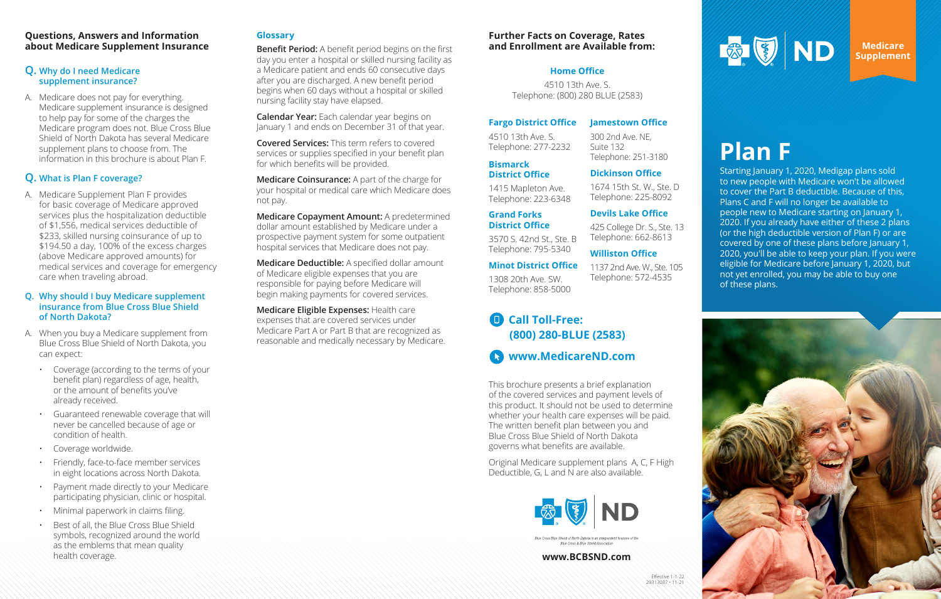

### **Questions, Answers and Information about Medicare Supplement Insurance**

### **Q. Why do I need Medicare supplement insurance?**

A. Medicare does not pay for everything. Medicare supplement insurance is designed to help pay for some of the charges the Medicare program does not. Blue Cross Blue Shield of North Dakota has several Medicare supplement plans to choose from. The information in this brochure is about Plan F.

### **Q. What is Plan F coverage?**

A. Medicare Supplement Plan F provides for basic coverage of Medicare approved services plus the hospitalization deductible of \$1,556, medical services deductible of \$233, skilled nursing coinsurance of up to \$194.50 a day, 100% of the excess charges (above Medicare approved amounts) for medical services and coverage for emergency care when traveling abroad.

### **Q. Why should I buy Medicare supplement insurance from Blue Cross Blue Shield of North Dakota?**

- A. When you buy a Medicare supplement from Blue Cross Blue Shield of North Dakota, you can expect:
	- Coverage (according to the terms of your benefit plan) regardless of age, health, or the amount of benefits you've already received.
	- Guaranteed renewable coverage that will never be cancelled because of age or condition of health.
	- Coverage worldwide.
	- Friendly, face-to-face member services in eight locations across North Dakota.
	- Payment made directly to your Medicare participating physician, clinic or hospital.
	- Minimal paperwork in claims filing.
	- Best of all, the Blue Cross Blue Shield symbols, recognized around the world as the emblems that mean quality health coverage.

### **Glossary**

**Benefit Period:** A benefit period begins on the first day you enter a hospital or skilled nursing facility as a Medicare patient and ends 60 consecutive days after you are discharged. A new benefit period begins when 60 days without a hospital or skilled nursing facility stay have elapsed.

**Calendar Year:** Each calendar year begins on January 1 and ends on December 31 of that year.

**Covered Services:** This term refers to covered services or supplies specified in your benefit plan for which benefits will be provided.

**Medicare Coinsurance:** A part of the charge for your hospital or medical care which Medicare does not pay.

**Medicare Copayment Amount:** A predetermined dollar amount established by Medicare under a prospective payment system for some outpatient hospital services that Medicare does not pay.

**Medicare Deductible:** A specified dollar amount of Medicare eligible expenses that you are responsible for paying before Medicare will begin making payments for covered services.

**Medicare Eligible Expenses:** Health care expenses that are covered services under Medicare Part A or Part B that are recognized as reasonable and medically necessary by Medicare.

> This brochure presents a brief explanation of the covered services and payment levels of this product. It should not be used to determine whether your health care expenses will be paid. The written benefit plan between you and Blue Cross Blue Shield of North Dakota governs what benefits are available.

> Original Medicare supplement plans A, C, F High Deductible, G, L and N are also available.



Blue Cross & Blue Shield Associatio

**Medicare Supplement**

# **Plan F**

Starting January 1, 2020, Medigap plans sold to new people with Medicare won't be allowed to cover the Part B deductible. Because of this, Plans C and F will no longer be available to people new to Medicare starting on January 1, 2020. If you already have either of these 2 plans (or the high deductible version of Plan F) or are covered by one of these plans before January 1, 2020, you'll be able to keep your plan. If you were eligible for Medicare before January 1, 2020, but not yet enrolled, you may be able to buy one of these plans.



### **www.BCBSND.com**

### **Further Facts on Coverage, Rates and Enrollment are Available from:**

### **Fargo District Office**

4510 13th Ave. S. Telephone: 277-2232

# **Bismarck**

**District Office**

1415 Mapleton Ave. Telephone: 223-6348

**Grand Forks** 

Telephone: 795-5340

**Minot District Office** 1308 20th Ave. SW. Telephone: 858-5000

#### **Jamestown Office**

### **District Office Devils Lake Office**

300 2nd Ave. NE,

Suite 132

3570 S. 42nd St., Ste. B 425 College Dr. S., Ste. 13 Telephone: 662-8613

Telephone: 251-3180

**Dickinson Office** 1674 15th St. W., Ste. D

Telephone: 225-8092

### **Williston Office**

### 1137 2nd Ave. W., Ste. 105 Telephone: 572-4535

# **Call Toll-Free: (800) 280-BLUE (2583)**

**www.MedicareND.com**

### **Home Office**

4510 13th Ave. S. Telephone: (800) 280 BLUE (2583)